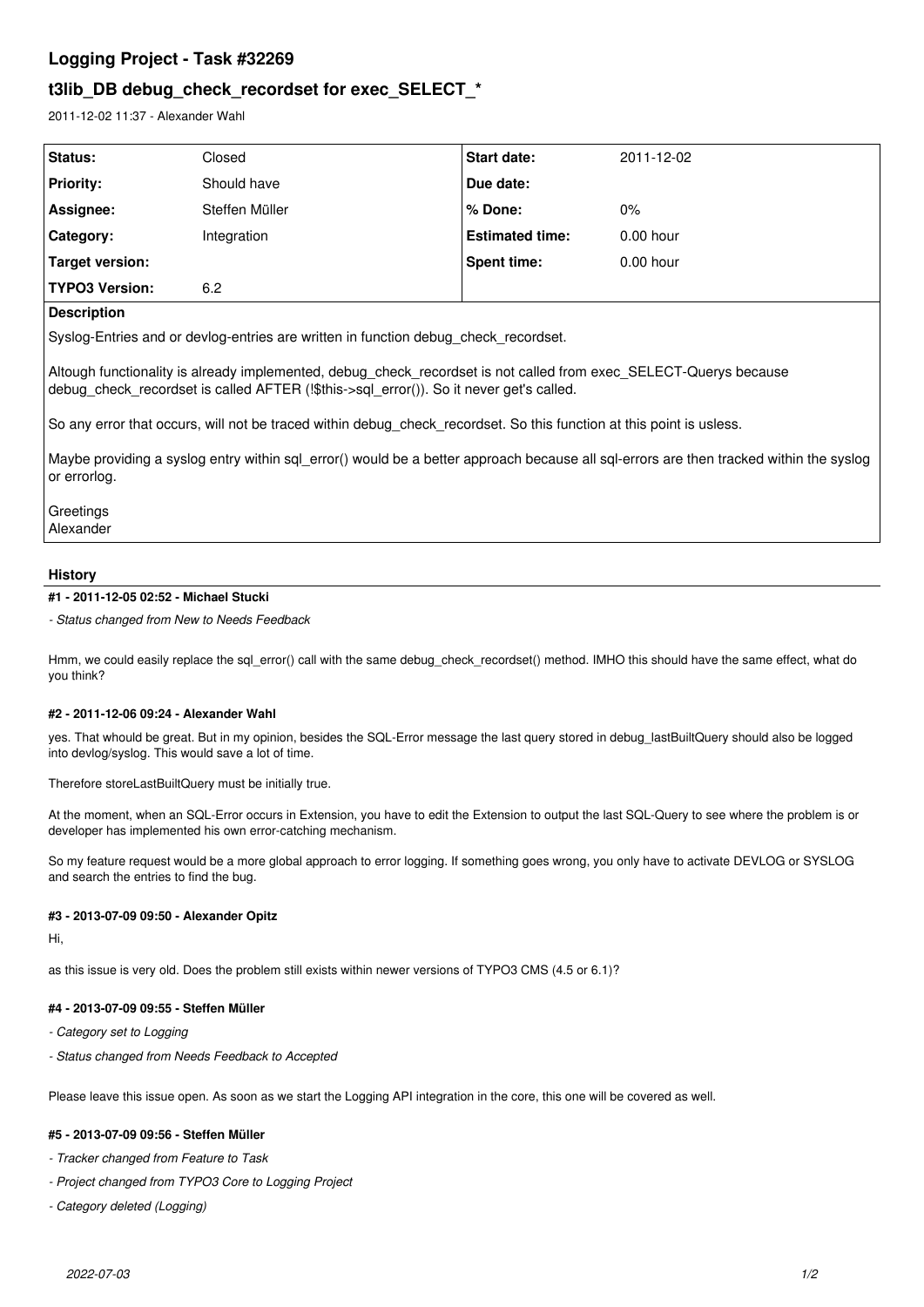# **Logging Project - Task #32269**

# **t3lib\_DB debug\_check\_recordset for exec\_SELECT\_\***

2011-12-02 11:37 - Alexander Wahl

| <b>Status:</b>        | Closed         | <b>Start date:</b>     | 2011-12-02  |
|-----------------------|----------------|------------------------|-------------|
| <b>Priority:</b>      | Should have    | Due date:              |             |
| Assignee:             | Steffen Müller | % Done:                | 0%          |
| Category:             | Integration    | <b>Estimated time:</b> | $0.00$ hour |
| Target version:       |                | <b>Spent time:</b>     | $0.00$ hour |
| <b>TYPO3 Version:</b> | 6.2            |                        |             |

### **Description**

Syslog-Entries and or devlog-entries are written in function debug\_check\_recordset.

Altough functionality is already implemented, debug\_check\_recordset is not called from exec\_SELECT-Querys because debug\_check\_recordset is called AFTER (!\$this->sql\_error()). So it never get's called.

So any error that occurs, will not be traced within debug\_check\_recordset. So this function at this point is usless.

Maybe providing a syslog entry within sql\_error() would be a better approach because all sql-errors are then tracked within the syslog or errorlog.

**Greetings** Alexander

#### **History**

**#1 - 2011-12-05 02:52 - Michael Stucki**

*- Status changed from New to Needs Feedback*

Hmm, we could easily replace the sql\_error() call with the same debug\_check\_recordset() method. IMHO this should have the same effect, what do you think?

#### **#2 - 2011-12-06 09:24 - Alexander Wahl**

yes. That whould be great. But in my opinion, besides the SQL-Error message the last query stored in debug lastBuiltQuery should also be logged into devlog/syslog. This would save a lot of time.

Therefore storeLastBuiltQuery must be initially true.

At the moment, when an SQL-Error occurs in Extension, you have to edit the Extension to output the last SQL-Query to see where the problem is or developer has implemented his own error-catching mechanism.

So my feature request would be a more global approach to error logging. If something goes wrong, you only have to activate DEVLOG or SYSLOG and search the entries to find the bug.

#### **#3 - 2013-07-09 09:50 - Alexander Opitz**

Hi,

as this issue is very old. Does the problem still exists within newer versions of TYPO3 CMS (4.5 or 6.1)?

#### **#4 - 2013-07-09 09:55 - Steffen Müller**

- *Category set to Logging*
- *Status changed from Needs Feedback to Accepted*

Please leave this issue open. As soon as we start the Logging API integration in the core, this one will be covered as well.

# **#5 - 2013-07-09 09:56 - Steffen Müller**

- *Tracker changed from Feature to Task*
- *Project changed from TYPO3 Core to Logging Project*
- *Category deleted (Logging)*